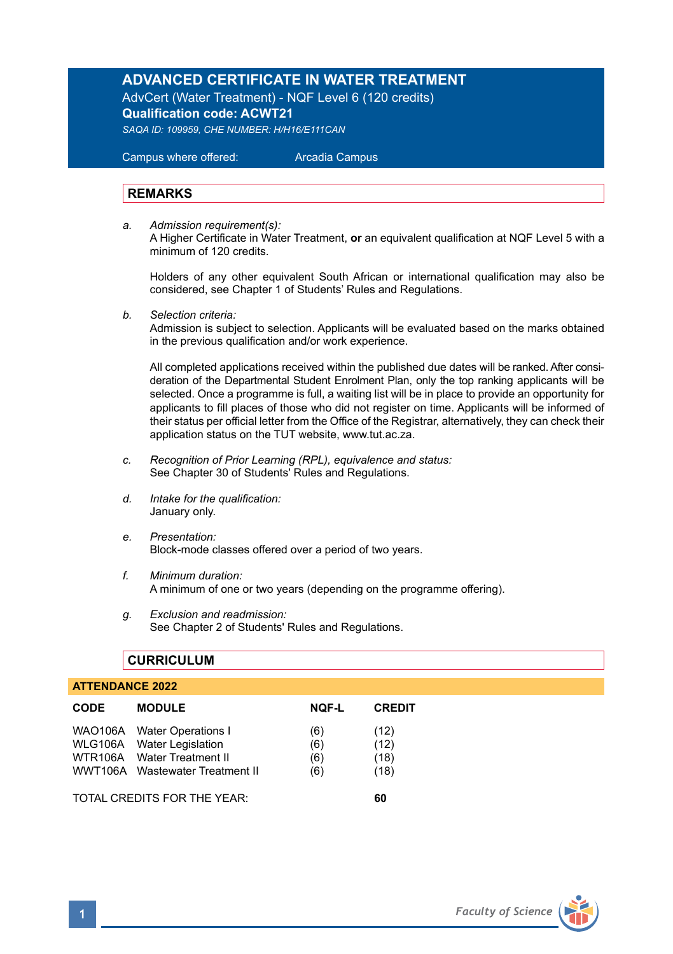# **ADVANCED CERTIFICATE IN WATER TREATMENT**

AdvCert (Water Treatment) - NQF Level 6 (120 credits) **Qualification code: ACWT21**

*SAQA ID: 109959, CHE NUMBER: H/H16/E111CAN* 

 Campus where offered: Arcadia Campus

### **REMARKS**

*a. Admission requirement(s):*  A Higher Certificate in Water Treatment, **or** an equivalent qualification at NQF Level 5 with a minimum of 120 credits.

Holders of any other equivalent South African or international qualification may also be considered, see Chapter 1 of Students' Rules and Regulations.

*b. Selection criteria:*

Admission is subject to selection. Applicants will be evaluated based on the marks obtained in the previous qualification and/or work experience.

All completed applications received within the published due dates will be ranked. After consideration of the Departmental Student Enrolment Plan, only the top ranking applicants will be selected. Once a programme is full, a waiting list will be in place to provide an opportunity for applicants to fill places of those who did not register on time. Applicants will be informed of their status per official letter from the Office of the Registrar, alternatively, they can check their application status on the TUT website, www.tut.ac.za.

- *c. Recognition of Prior Learning (RPL), equivalence and status:* See Chapter 30 of Students' Rules and Regulations.
- *d. Intake for the qualification:* January only.
- *e. Presentation:* Block-mode classes offered over a period of two years.
- *f. Minimum duration:* A minimum of one or two years (depending on the programme offering).
- *g. Exclusion and readmission:* See Chapter 2 of Students' Rules and Regulations.

### **CURRICULUM**

#### **ATTENDANCE 2022**

| <b>CODE</b>                 | <b>MODULE</b>                                                                                                            | <b>NOF-L</b>             | <b>CREDIT</b>                |
|-----------------------------|--------------------------------------------------------------------------------------------------------------------------|--------------------------|------------------------------|
|                             | WAO106A Water Operations I<br>WLG106A Water Legislation<br>WTR106A Water Treatment II<br>WWT106A Wastewater Treatment II | (6)<br>(6)<br>(6)<br>(6) | (12)<br>(12)<br>(18)<br>(18) |
| TOTAL CREDITS FOR THE YEAR: |                                                                                                                          |                          | 60                           |

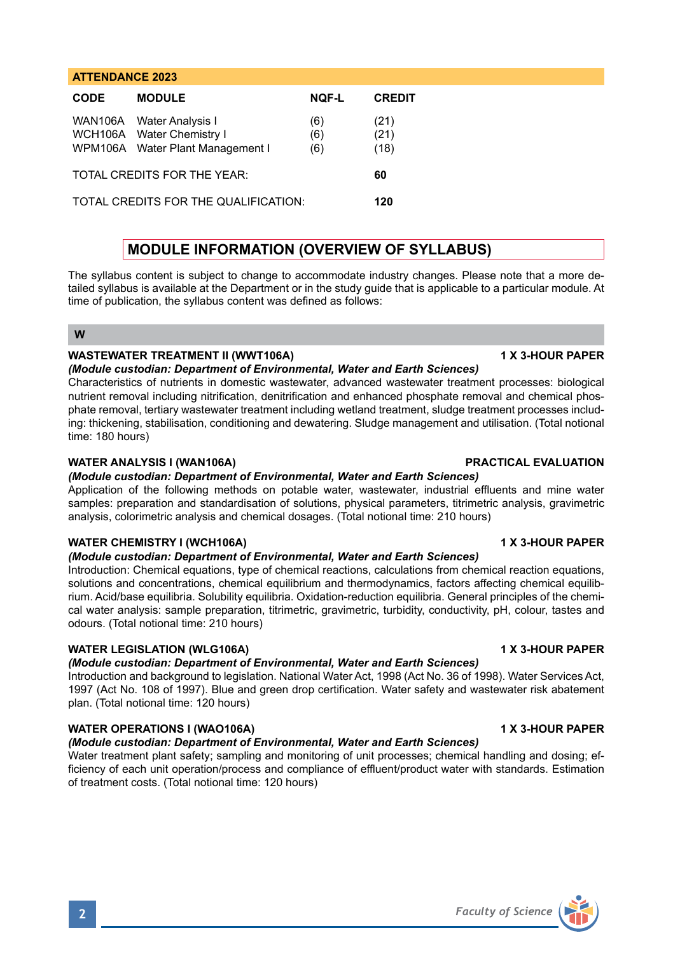# **ATTENDANCE 2023 CODE MODULE NQF-L CREDIT** WAN106A Water Analysis I (6) (21)<br>WCH106A Water Chemistry I (6) (21) WCH106A Water Chemistry I WPM106A Water Plant Management | (6) (18) TOTAL CREDITS FOR THE YEAR: **60** TOTAL CREDITS FOR THE QUALIFICATION: **120**

# **MODULE INFORMATION (OVERVIEW OF SYLLABUS)**

The syllabus content is subject to change to accommodate industry changes. Please note that a more detailed syllabus is available at the Department or in the study guide that is applicable to a particular module. At time of publication, the syllabus content was defined as follows:

**W**

# **WASTEWATER TREATMENT II (WWT106A)** 1 X 3-HOUR PAPER

### *(Module custodian: Department of Environmental, Water and Earth Sciences)*

Characteristics of nutrients in domestic wastewater, advanced wastewater treatment processes: biological nutrient removal including nitrification, denitrification and enhanced phosphate removal and chemical phosphate removal, tertiary wastewater treatment including wetland treatment, sludge treatment processes including: thickening, stabilisation, conditioning and dewatering. Sludge management and utilisation. (Total notional time: 180 hours)

### **WATER ANALYSIS I (WAN106A) PRACTICAL EVALUATION**

### *(Module custodian: Department of Environmental, Water and Earth Sciences)*

Application of the following methods on potable water, wastewater, industrial effluents and mine water samples: preparation and standardisation of solutions, physical parameters, titrimetric analysis, gravimetric analysis, colorimetric analysis and chemical dosages. (Total notional time: 210 hours)

## **WATER CHEMISTRY I (WCH106A) 1 X 3-HOUR PAPER**

#### *(Module custodian: Department of Environmental, Water and Earth Sciences)*

Introduction: Chemical equations, type of chemical reactions, calculations from chemical reaction equations, solutions and concentrations, chemical equilibrium and thermodynamics, factors affecting chemical equilibrium. Acid/base equilibria. Solubility equilibria. Oxidation-reduction equilibria. General principles of the chemical water analysis: sample preparation, titrimetric, gravimetric, turbidity, conductivity, pH, colour, tastes and odours. (Total notional time: 210 hours)

#### WATER LEGISLATION (WLG106A) **1 X 3-HOUR PAPER**

## *(Module custodian: Department of Environmental, Water and Earth Sciences)*

Introduction and background to legislation. National Water Act, 1998 (Act No. 36 of 1998). Water Services Act, 1997 (Act No. 108 of 1997). Blue and green drop certification. Water safety and wastewater risk abatement plan. (Total notional time: 120 hours)

## **WATER OPERATIONS I (WAO106A) 1 X 3-HOUR PAPER**

# *(Module custodian: Department of Environmental, Water and Earth Sciences)*

Water treatment plant safety; sampling and monitoring of unit processes; chemical handling and dosing; efficiency of each unit operation/process and compliance of effluent/product water with standards. Estimation of treatment costs. (Total notional time: 120 hours)